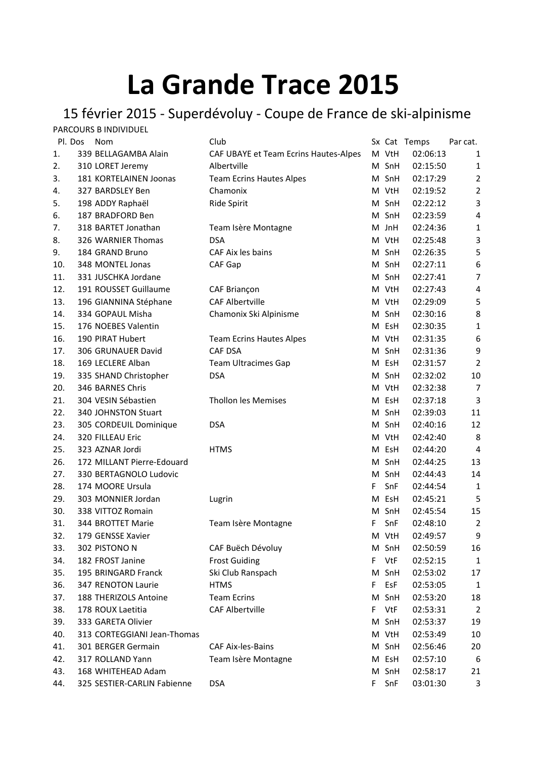## **La Grande Trace 2015**

## 15 février 2015 - Superdévoluy - Coupe de France de ski-alpinisme

|         | PARCOURS B INDIVIDUEL       |                                       |    |       |              |                |
|---------|-----------------------------|---------------------------------------|----|-------|--------------|----------------|
| Pl. Dos | <b>Nom</b>                  | Club                                  |    |       | Sx Cat Temps | Par cat.       |
| 1.      | 339 BELLAGAMBA Alain        | CAF UBAYE et Team Ecrins Hautes-Alpes |    | M VtH | 02:06:13     | 1              |
| 2.      | 310 LORET Jeremy            | Albertville                           |    | M SnH | 02:15:50     | $\mathbf 1$    |
| 3.      | 181 KORTELAINEN Joonas      | <b>Team Ecrins Hautes Alpes</b>       | M  | SnH   | 02:17:29     | $\overline{2}$ |
| 4.      | 327 BARDSLEY Ben            | Chamonix                              |    | M VtH | 02:19:52     | $\mathbf{2}$   |
| 5.      | 198 ADDY Raphaël            | Ride Spirit                           |    | M SnH | 02:22:12     | 3              |
| 6.      | 187 BRADFORD Ben            |                                       |    | M SnH | 02:23:59     | 4              |
| 7.      | 318 BARTET Jonathan         | Team Isère Montagne                   |    | M JnH | 02:24:36     | 1              |
| 8.      | 326 WARNIER Thomas          | <b>DSA</b>                            |    | M VtH | 02:25:48     | 3              |
| 9.      | 184 GRAND Bruno             | CAF Aix les bains                     |    | M SnH | 02:26:35     | 5              |
| 10.     | 348 MONTEL Jonas            | CAF Gap                               | M  | SnH   | 02:27:11     | 6              |
| 11.     | 331 JUSCHKA Jordane         |                                       | M  | SnH   | 02:27:41     | 7              |
| 12.     | 191 ROUSSET Guillaume       | CAF Briançon                          |    | M VtH | 02:27:43     | 4              |
| 13.     | 196 GIANNINA Stéphane       | <b>CAF Albertville</b>                |    | M VtH | 02:29:09     | 5              |
| 14.     | 334 GOPAUL Misha            | Chamonix Ski Alpinisme                |    | M SnH | 02:30:16     | 8              |
| 15.     | 176 NOEBES Valentin         |                                       | М  | EsH   | 02:30:35     | $\mathbf{1}$   |
| 16.     | 190 PIRAT Hubert            | <b>Team Ecrins Hautes Alpes</b>       |    | M VtH | 02:31:35     | 6              |
| 17.     | 306 GRUNAUER David          | <b>CAF DSA</b>                        | M  | SnH   | 02:31:36     | 9              |
| 18.     | 169 LECLERE Alban           | <b>Team Ultracimes Gap</b>            | М  | EsH   | 02:31:57     | 2              |
| 19.     | 335 SHAND Christopher       | <b>DSA</b>                            |    | M SnH | 02:32:02     | 10             |
| 20.     | 346 BARNES Chris            |                                       |    | M VtH | 02:32:38     | 7              |
| 21.     | 304 VESIN Sébastien         | <b>Thollon les Memises</b>            | M  | EsH   | 02:37:18     | 3              |
| 22.     | 340 JOHNSTON Stuart         |                                       |    | M SnH | 02:39:03     | 11             |
| 23.     | 305 CORDEUIL Dominique      | <b>DSA</b>                            |    | M SnH | 02:40:16     | 12             |
| 24.     | 320 FILLEAU Eric            |                                       |    | M VtH | 02:42:40     | 8              |
| 25.     | 323 AZNAR Jordi             | <b>HTMS</b>                           | М  | EsH   | 02:44:20     | $\overline{4}$ |
| 26.     | 172 MILLANT Pierre-Edouard  |                                       |    | M SnH | 02:44:25     | 13             |
| 27.     | 330 BERTAGNOLO Ludovic      |                                       |    | M SnH | 02:44:43     | 14             |
| 28.     | 174 MOORE Ursula            |                                       | F. | SnF   | 02:44:54     | 1              |
| 29.     | 303 MONNIER Jordan          | Lugrin                                | М  | EsH   | 02:45:21     | 5              |
| 30.     | 338 VITTOZ Romain           |                                       | М  | SnH   | 02:45:54     | 15             |
| 31.     | 344 BROTTET Marie           | Team Isère Montagne                   | F. | SnF   | 02:48:10     | $\overline{2}$ |
| 32.     | 179 GENSSE Xavier           |                                       |    | M VtH | 02:49:57     | 9              |
| 33.     | 302 PISTONO N               | CAF Buëch Dévoluy                     | М  | SnH   | 02:50:59     | 16             |
| 34.     | 182 FROST Janine            | <b>Frost Guiding</b>                  | F. | VtF   | 02:52:15     | 1              |
| 35.     | 195 BRINGARD Franck         | Ski Club Ranspach                     | M  | SnH   | 02:53:02     | 17             |
| 36.     | 347 RENOTON Laurie          | <b>HTMS</b>                           | F  | EsF   | 02:53:05     | 1              |
| 37.     | 188 THERIZOLS Antoine       | <b>Team Ecrins</b>                    |    | M SnH | 02:53:20     | 18             |
| 38.     | 178 ROUX Laetitia           | <b>CAF Albertville</b>                | F. | VtF   | 02:53:31     | $\overline{2}$ |
| 39.     | 333 GARETA Olivier          |                                       |    | M SnH | 02:53:37     | 19             |
| 40.     | 313 CORTEGGIANI Jean-Thomas |                                       |    | M VtH | 02:53:49     | 10             |
| 41.     | 301 BERGER Germain          | <b>CAF Aix-les-Bains</b>              |    | M SnH | 02:56:46     | 20             |
| 42.     | 317 ROLLAND Yann            | Team Isère Montagne                   |    | M EsH | 02:57:10     | 6              |
| 43.     | 168 WHITEHEAD Adam          |                                       |    | M SnH | 02:58:17     | 21             |
| 44.     | 325 SESTIER-CARLIN Fabienne | <b>DSA</b>                            | F. | SnF   | 03:01:30     | 3              |